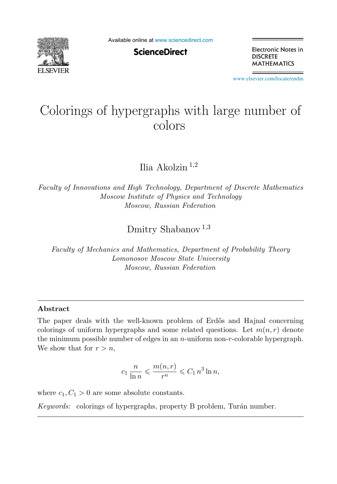

Available online at [www.sciencedirect.com](http://www.sciencedirect.com)

**ScienceDirect** 

Electronic Notes in **DISCRETE MATHEMATICS** 

[www.elsevier.com/locate/endm](http://www.elsevier.com/locate/endm)

# Colorings of hypergraphs with large number of

Ilia Akolzin <sup>1</sup>,<sup>2</sup>

*Faculty of Innovations and High Technology, Department of Discrete Mathematics Moscow Institute of Physics and Technology Moscow, Russian Federation*

Dmitry Shabanov<sup>1,3</sup>

*Faculty of Mechanics and Mathematics, Department of Probability Theory Lomonosov Moscow State University Moscow, Russian Federation*

#### **Abstract**

The paper deals with the well-known problem of Erdős and Hajnal concerning colorings of uniform hypergraphs and some related questions. Let  $m(n, r)$  denote the minimum possible number of edges in an  $n$ -uniform non- $r$ -colorable hypergraph. We show that for  $r>n$ ,

$$
c_1 \frac{n}{\ln n} \leqslant \frac{m(n,r)}{r^n} \leqslant C_1 n^3 \ln n,
$$

where  $c_1, C_1 > 0$  are some absolute constants.

*Keywords:* colorings of hypergraphs, property B problem, Turán number.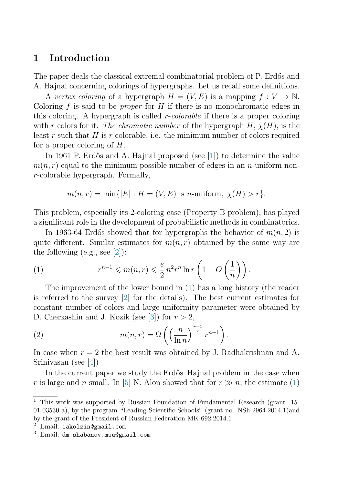## <span id="page-1-0"></span>**1 Introduction**

The paper deals the classical extremal combinatorial problem of P. Erdős and A. Hajnal concerning colorings of hypergraphs. Let us recall some definitions.

A vertex coloring of a hypergraph  $H = (V, E)$  is a mapping  $f: V \to \mathbb{N}$ . Coloring  $f$  is said to be *proper* for  $H$  if there is no monochromatic edges in this coloring. A hypergraph is called  $r\text{-}colorable$  if there is a proper coloring with r colors for it. The chromatic number of the hypergraph  $H, \chi(H)$ , is the least  $r$  such that  $H$  is  $r$  colorable, i.e. the minimum number of colors required for a proper coloring of H.

In 1961 P. Erdős and A. Hajnal proposed (see [\[1\]](#page-4-0)) to determine the value  $m(n, r)$  equal to the minimum possible number of edges in an *n*-uniform nonr-colorable hypergraph. Formally,

$$
m(n,r) = \min\{|E| : H = (V, E) \text{ is } n\text{-uniform}, \ \chi(H) > r\}.
$$

This problem, especially its 2-coloring case (Property B problem), has played a significant role in the development of probabilistic methods in combinatorics.

In 1963-64 Erdős showed that for hypergraphs the behavior of  $m(n, 2)$  is quite different. Similar estimates for  $m(n, r)$  obtained by the same way are the following  $(e.g., see [2])$  $(e.g., see [2])$  $(e.g., see [2])$ :

(1) 
$$
r^{n-1} \leqslant m(n,r) \leqslant \frac{e}{2} n^2 r^n \ln r \left( 1 + O\left(\frac{1}{n}\right) \right).
$$

The improvement of the lower bound in (1) has a long history (the reader is referred to the survey [\[2\]](#page-4-0) for the details). The best current estimates for constant number of colors and large uniformity parameter were obtained by D. Cherkashin and J. Kozik (see [\[3\]](#page-4-0)) for  $r > 2$ ,

(2) 
$$
m(n,r) = \Omega\left(\left(\frac{n}{\ln n}\right)^{\frac{r-1}{r}}r^{n-1}\right).
$$

In case when  $r = 2$  the best result was obtained by J. Radhakrishnan and A. Srinivasan (see [\[4\]](#page-4-0))

In the current paper we study the Erdős–Hajnal problem in the case when r is large and n small. In [\[5\]](#page-4-0) N. Alon showed that for  $r \gg n$ , the estimate (1)

<sup>1</sup> This work was supported by Russian Foundation of Fundamental Research (grant 15- 01-03530-a), by the program "Leading Scientific Schools" (grant no. NSh-2964.2014.1)and by the grant of the President of Russian Federation MK-692.2014.1

 $2$  Email: iakolzin@gmail.com

<sup>3</sup> Email: dm.shabanov.msu@gmail.com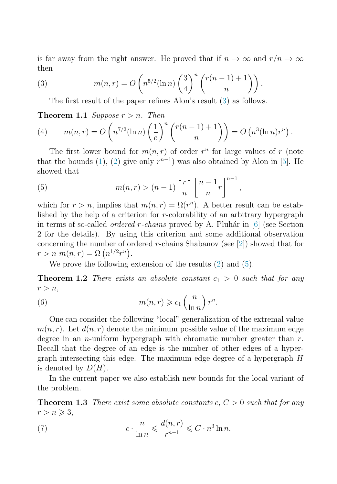<span id="page-2-0"></span>is far away from the right answer. He proved that if  $n \to \infty$  and  $r/n \to \infty$ then

(3) 
$$
m(n,r) = O\left(n^{5/2}(\ln n)\left(\frac{3}{4}\right)^n \binom{r(n-1)+1}{n}\right).
$$

The first result of the paper refines Alon's result (3) as follows.

**Theorem 1.1** Suppose  $r > n$ . Then

(4) 
$$
m(n,r) = O\left(n^{7/2}(\ln n)\left(\frac{1}{e}\right)^n \binom{r(n-1)+1}{n}\right) = O\left(n^3(\ln n)r^n\right).
$$

The first lower bound for  $m(n, r)$  of order  $r^n$  for large values of r (note that the bounds [\(1\)](#page-1-0), [\(2\)](#page-1-0) give only  $r^{n-1}$ ) was also obtained by Alon in [\[5\]](#page-4-0). He showed that

(5) 
$$
m(n,r) > (n-1)\left\lceil \frac{r}{n} \right\rceil \left\lfloor \frac{n-1}{n}r \right\rfloor^{n-1},
$$

which for  $r>n$ , implies that  $m(n,r) = \Omega(r^n)$ . A better result can be established by the help of a criterion for r-colorability of an arbitrary hypergraph in terms of so-called *ordered r-chains* proved by A. Pluhár in  $[6]$  (see Section 2 for the details). By using this criterion and some additional observation concerning the number of ordered r-chains Shabanov (see  $[2]$ ) showed that for  $r > n \ m(n,r) = \Omega \left( n^{1/2} r^n \right).$ 

We prove the following extension of the results [\(2\)](#page-1-0) and (5).

**Theorem 1.2** There exists an absolute constant  $c_1 > 0$  such that for any  $r>n,$ 

(6) 
$$
m(n,r) \geqslant c_1 \left(\frac{n}{\ln n}\right) r^n.
$$

One can consider the following "local" generalization of the extremal value  $m(n, r)$ . Let  $d(n, r)$  denote the minimum possible value of the maximum edge degree in an *n*-uniform hypergraph with chromatic number greater than  $r$ . Recall that the degree of an edge is the number of other edges of a hypergraph intersecting this edge. The maximum edge degree of a hypergraph H is denoted by  $D(H)$ .

In the current paper we also establish new bounds for the local variant of the problem.

**Theorem 1.3** There exist some absolute constants  $c, C > 0$  such that for any  $r>n\geqslant 3$ ,

(7) 
$$
c \cdot \frac{n}{\ln n} \leqslant \frac{d(n,r)}{r^{n-1}} \leqslant C \cdot n^3 \ln n.
$$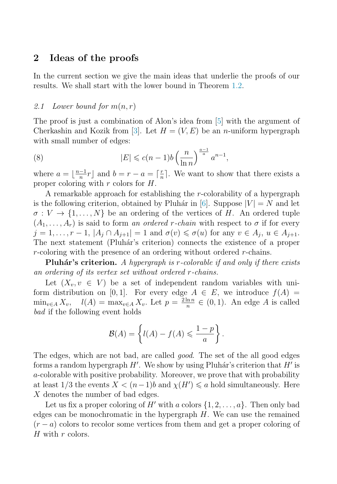## **2 Ideas of the proofs**

In the current section we give the main ideas that underlie the proofs of our results. We shall start with the lower bound in Theorem [1.2.](#page-2-0)

#### 2.1 Lower bound for  $m(n,r)$

The proof is just a combination of Alon's idea from [\[5\]](#page-4-0) with the argument of Cherkashin and Kozik from [\[3\]](#page-4-0). Let  $H = (V, E)$  be an *n*-uniform hypergraph with small number of edges:

(8) 
$$
|E| \leqslant c(n-1)b\left(\frac{n}{\ln n}\right)^{\frac{a-1}{a}}a^{n-1},
$$

where  $a = \lfloor \frac{n-1}{n}r \rfloor$  and  $b = r - a = \lceil \frac{r}{n} \rceil$ . We want to show that there exists a proper coloring with  $r$  colors for  $H$ .

A remarkable approach for establishing the r-colorability of a hypergraph is the following criterion, obtained by Pluhár in [\[6\]](#page-4-0). Suppose  $|V| = N$  and let  $\sigma: V \to \{1, \ldots, N\}$  be an ordering of the vertices of H. An ordered tuple  $(A_1, \ldots, A_r)$  is said to form an ordered r-chain with respect to  $\sigma$  if for every  $j = 1, \ldots, r - 1, |A_j \cap A_{j+1}| = 1$  and  $\sigma(v) \leq \sigma(u)$  for any  $v \in A_j$ ,  $u \in A_{j+1}$ . The next statement (Pluhár's criterion) connects the existence of a proper r-coloring with the presence of an ordering without ordered  $r$ -chains.

**Pluhár's criterion.** A hypergraph is r-colorable if and only if there exists an ordering of its vertex set without ordered r-chains.

Let  $(X_v, v \in V)$  be a set of independent random variables with uniform distribution on [0, 1]. For every edge  $A \in E$ , we introduce  $f(A) =$  $\min_{v \in A} X_v$ ,  $l(A) = \max_{v \in A} X_v$ . Let  $p = \frac{2 \ln n}{n} \in (0, 1)$ . An edge A is called bad if the following event holds

$$
\mathcal{B}(A) = \left\{ l(A) - f(A) \leqslant \frac{1-p}{a} \right\}.
$$

The edges, which are not bad, are called *good*. The set of the all good edges forms a random hypergraph  $H'$ . We show by using Pluhár's criterion that  $H'$  is a-colorable with positive probability. Moreover, we prove that with probability at least 1/3 the events  $X < (n-1)b$  and  $\chi(H') \leq a$  hold simultaneously. Here X denotes the number of bad edges.

Let us fix a proper coloring of H' with a colors  $\{1, 2, \ldots, a\}$ . Then only bad edges can be monochromatic in the hypergraph  $H$ . We can use the remained  $(r - a)$  colors to recolor some vertices from them and get a proper coloring of  $H$  with  $r$  colors.